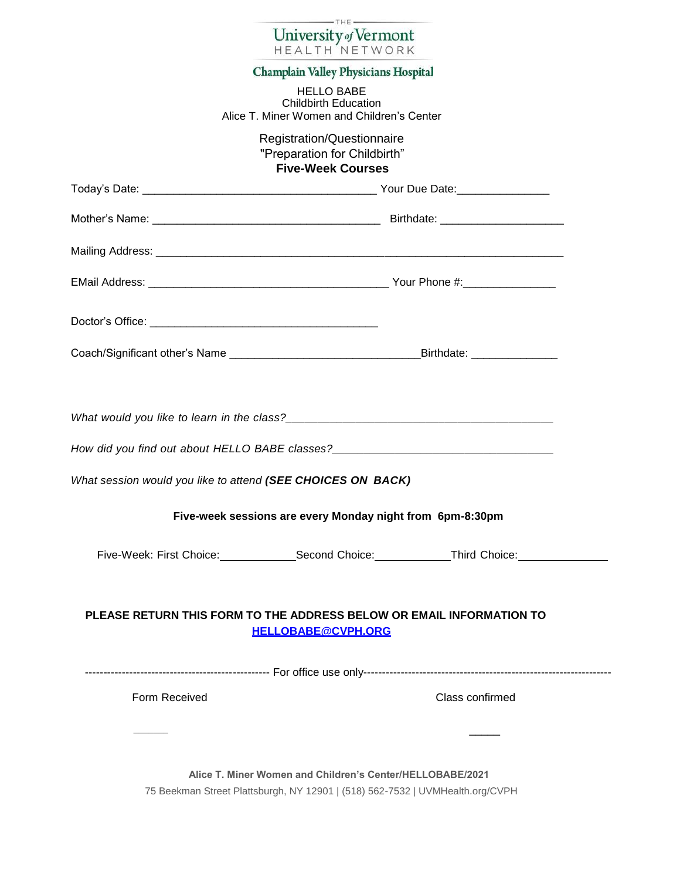| $-THE -$<br>University of Vermont                                                                   |
|-----------------------------------------------------------------------------------------------------|
| <b>HEALTH NETWORK</b>                                                                               |
| Champlain Valley Physicians Hospital                                                                |
| <b>HELLO BABE</b><br><b>Childbirth Education</b><br>Alice T. Miner Women and Children's Center      |
| Registration/Questionnaire<br>"Preparation for Childbirth"<br><b>Five-Week Courses</b>              |
|                                                                                                     |
|                                                                                                     |
|                                                                                                     |
|                                                                                                     |
|                                                                                                     |
|                                                                                                     |
| What session would you like to attend (SEE CHOICES ON BACK)                                         |
| Five-week sessions are every Monday night from 6pm-8:30pm                                           |
| Five-Week: First Choice:_______________Second Choice:______________Third Choice:___________________ |
| PLEASE RETURN THIS FORM TO THE ADDRESS BELOW OR EMAIL INFORMATION TO<br><b>HELLOBABE@CVPH.ORG</b>   |
|                                                                                                     |
| Class confirmed                                                                                     |
|                                                                                                     |
|                                                                                                     |
|                                                                                                     |

75 Beekman Street Plattsburgh, NY 12901 | (518) 562-7532 | UVMHealth.org/CVPH